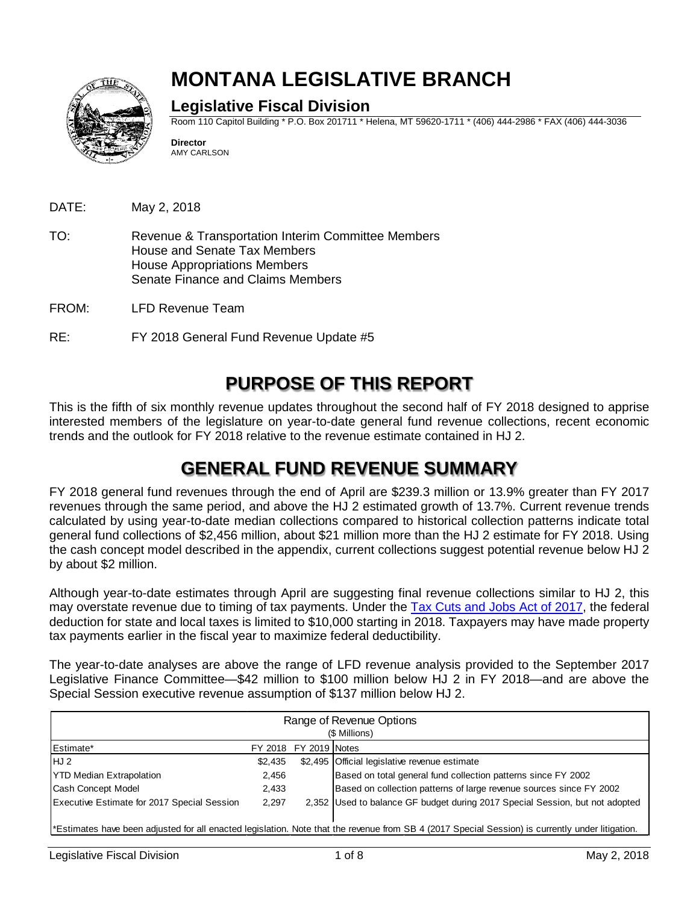

# **MONTANA LEGISLATIVE BRANCH**

#### **Legislative Fiscal Division**

Room 110 Capitol Building \* P.O. Box 201711 \* Helena, MT 59620-1711 \* (406) 444-2986 \* FAX (406) 444-3036

**Director** AMY CARLSON

DATE: May 2, 2018

- TO: Revenue & Transportation Interim Committee Members House and Senate Tax Members House Appropriations Members Senate Finance and Claims Members
- FROM: LFD Revenue Team
- RE: FY 2018 General Fund Revenue Update #5

### **PURPOSE OF THIS REPORT**

This is the fifth of six monthly revenue updates throughout the second half of FY 2018 designed to apprise interested members of the legislature on year-to-date general fund revenue collections, recent economic trends and the outlook for FY 2018 relative to the revenue estimate contained in HJ 2.

### **GENERAL FUND REVENUE SUMMARY**

FY 2018 general fund revenues through the end of April are \$239.3 million or 13.9% greater than FY 2017 revenues through the same period, and above the HJ 2 estimated growth of 13.7%. Current revenue trends calculated by using year-to-date median collections compared to historical collection patterns indicate total general fund collections of \$2,456 million, about \$21 million more than the HJ 2 estimate for FY 2018. Using the cash concept model described in the appendix, current collections suggest potential revenue below HJ 2 by about \$2 million.

Although year-to-date estimates through April are suggesting final revenue collections similar to HJ 2, this may overstate revenue due to timing of tax payments. Under the [Tax Cuts and Jobs Act of 2017,](https://www.congress.gov/bill/115th-congress/house-bill/1) the federal deduction for state and local taxes is limited to \$10,000 starting in 2018. Taxpayers may have made property tax payments earlier in the fiscal year to maximize federal deductibility.

The year-to-date analyses are above the range of LFD revenue analysis provided to the September 2017 Legislative Finance Committee—\$42 million to \$100 million below HJ 2 in FY 2018—and are above the Special Session executive revenue assumption of \$137 million below HJ 2.

| Range of Revenue Options<br>(\$ Millions)                                                                                                        |         |                        |                                                                              |  |  |  |
|--------------------------------------------------------------------------------------------------------------------------------------------------|---------|------------------------|------------------------------------------------------------------------------|--|--|--|
| <b>Estimate*</b>                                                                                                                                 |         | FY 2018 FY 2019 INotes |                                                                              |  |  |  |
| HJ 2                                                                                                                                             | \$2,435 |                        | \$2,495 Official legislative revenue estimate                                |  |  |  |
| <b>YTD Median Extrapolation</b>                                                                                                                  | 2,456   |                        | Based on total general fund collection patterns since FY 2002                |  |  |  |
| Cash Concept Model                                                                                                                               | 2,433   |                        | Based on collection patterns of large revenue sources since FY 2002          |  |  |  |
| <b>Executive Estimate for 2017 Special Session</b>                                                                                               | 2,297   |                        | 2,352 Used to balance GF budget during 2017 Special Session, but not adopted |  |  |  |
|                                                                                                                                                  |         |                        |                                                                              |  |  |  |
| *Estimates have been adjusted for all enacted legislation. Note that the revenue from SB 4 (2017 Special Session) is currently under litigation. |         |                        |                                                                              |  |  |  |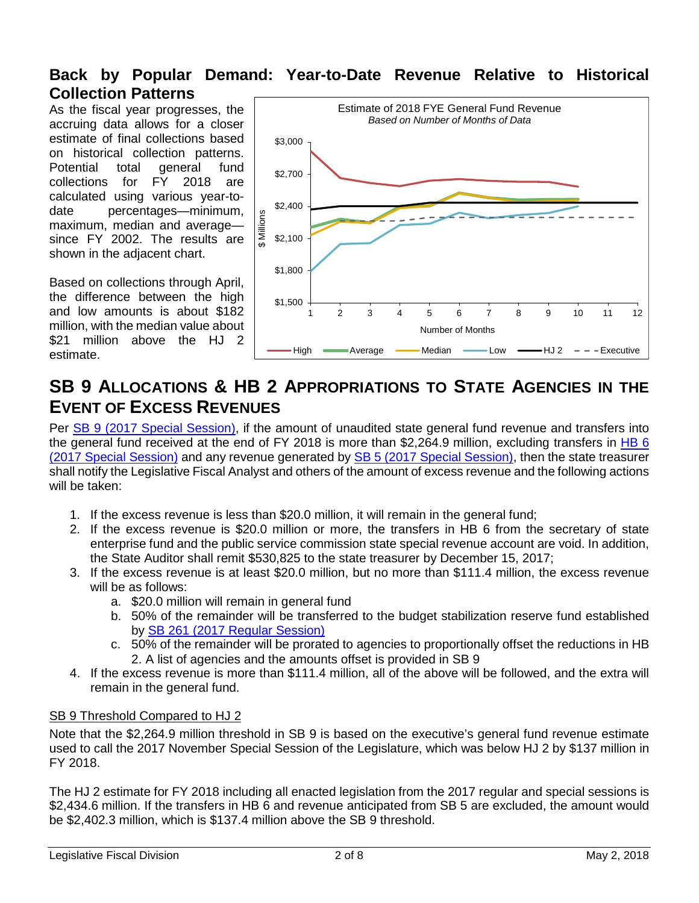#### **Back by Popular Demand: Year-to-Date Revenue Relative to Historical Collection Patterns**

As the fiscal year progresses, the accruing data allows for a closer estimate of final collections based on historical collection patterns. Potential total general fund collections for FY 2018 are calculated using various year-todate percentages—minimum, maximum, median and average since FY 2002. The results are shown in the adjacent chart.

Based on collections through April, the difference between the high and low amounts is about \$182 million, with the median value about \$21 million above the HJ 2 estimate.



### **SB 9 ALLOCATIONS & HB 2 APPROPRIATIONS TO STATE AGENCIES IN THE EVENT OF EXCESS REVENUES**

Per [SB 9 \(2017 Special Session\),](http://leg.mt.gov/bills/specsess/1117/billhtml/SB0009.htm) if the amount of unaudited state general fund revenue and transfers into the general fund received at the end of FY 2018 is more than \$2,264.9 million, excluding transfers in [HB 6](http://leg.mt.gov/bills/specsess/1117/billhtml/HB0006.htm)  [\(2017 Special Session\)](http://leg.mt.gov/bills/specsess/1117/billhtml/HB0006.htm) and any revenue generated by **SB 5 (2017 Special Session)**, then the state treasurer shall notify the Legislative Fiscal Analyst and others of the amount of excess revenue and the following actions will be taken:

- 1. If the excess revenue is less than \$20.0 million, it will remain in the general fund;
- 2. If the excess revenue is \$20.0 million or more, the transfers in HB 6 from the secretary of state enterprise fund and the public service commission state special revenue account are void. In addition, the State Auditor shall remit \$530,825 to the state treasurer by December 15, 2017;
- 3. If the excess revenue is at least \$20.0 million, but no more than \$111.4 million, the excess revenue will be as follows:
	- a. \$20.0 million will remain in general fund
	- b. 50% of the remainder will be transferred to the budget stabilization reserve fund established by [SB 261 \(2017 Regular Session\)](http://leg.mt.gov/bills/2017/billhtml/SB0261.htm)
	- c. 50% of the remainder will be prorated to agencies to proportionally offset the reductions in HB 2. A list of agencies and the amounts offset is provided in SB 9
- 4. If the excess revenue is more than \$111.4 million, all of the above will be followed, and the extra will remain in the general fund.

#### SB 9 Threshold Compared to HJ 2

Note that the \$2,264.9 million threshold in SB 9 is based on the executive's general fund revenue estimate used to call the 2017 November Special Session of the Legislature, which was below HJ 2 by \$137 million in FY 2018.

The HJ 2 estimate for FY 2018 including all enacted legislation from the 2017 regular and special sessions is \$2,434.6 million. If the transfers in HB 6 and revenue anticipated from SB 5 are excluded, the amount would be \$2,402.3 million, which is \$137.4 million above the SB 9 threshold.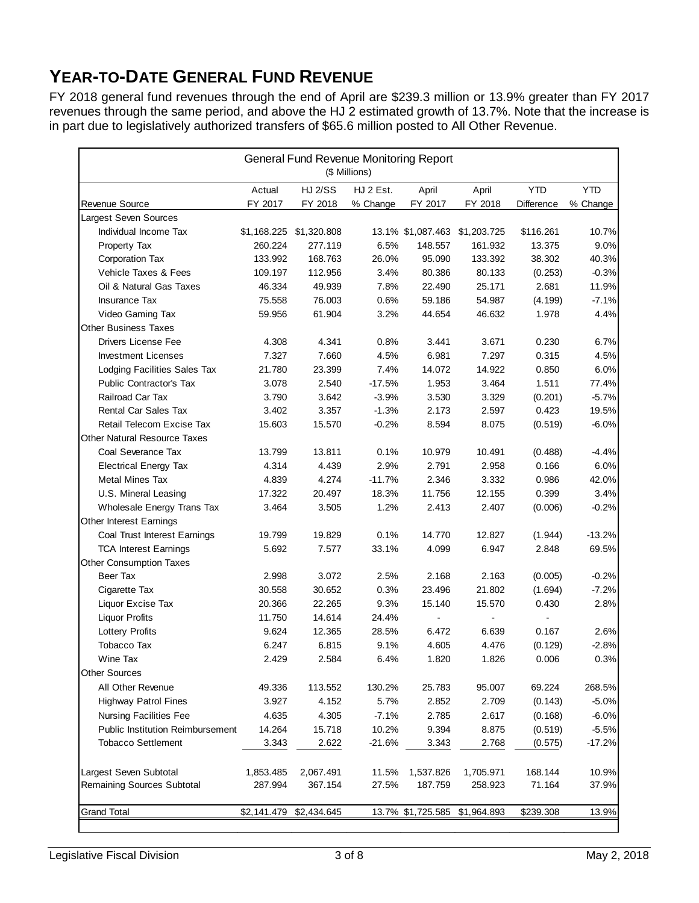### **YEAR-TO-DATE GENERAL FUND REVENUE**

FY 2018 general fund revenues through the end of April are \$239.3 million or 13.9% greater than FY 2017 revenues through the same period, and above the HJ 2 estimated growth of 13.7%. Note that the increase is in part due to legislatively authorized transfers of \$65.6 million posted to All Other Revenue.

| General Fund Revenue Monitoring Report<br>(\$ Millions) |             |                         |           |                   |             |            |            |
|---------------------------------------------------------|-------------|-------------------------|-----------|-------------------|-------------|------------|------------|
|                                                         | Actual      | <b>HJ 2/SS</b>          | HJ 2 Est. | April             | April       | <b>YTD</b> | <b>YTD</b> |
| Revenue Source                                          | FY 2017     | FY 2018                 | % Change  | FY 2017           | FY 2018     | Difference | % Change   |
| Largest Seven Sources                                   |             |                         |           |                   |             |            |            |
| Individual Income Tax                                   |             | \$1,168.225 \$1,320.808 |           | 13.1% \$1,087.463 | \$1,203.725 | \$116.261  | 10.7%      |
| Property Tax                                            | 260.224     | 277.119                 | 6.5%      | 148.557           | 161.932     | 13.375     | 9.0%       |
| Corporation Tax                                         | 133.992     | 168.763                 | 26.0%     | 95.090            | 133.392     | 38.302     | 40.3%      |
| Vehicle Taxes & Fees                                    | 109.197     | 112.956                 | 3.4%      | 80.386            | 80.133      | (0.253)    | $-0.3%$    |
| Oil & Natural Gas Taxes                                 | 46.334      | 49.939                  | 7.8%      | 22.490            | 25.171      | 2.681      | 11.9%      |
| <b>Insurance Tax</b>                                    | 75.558      | 76.003                  | 0.6%      | 59.186            | 54.987      | (4.199)    | $-7.1%$    |
| Video Gaming Tax                                        | 59.956      | 61.904                  | 3.2%      | 44.654            | 46.632      | 1.978      | 4.4%       |
| <b>Other Business Taxes</b>                             |             |                         |           |                   |             |            |            |
| Drivers License Fee                                     | 4.308       | 4.341                   | 0.8%      | 3.441             | 3.671       | 0.230      | 6.7%       |
| <b>Investment Licenses</b>                              | 7.327       | 7.660                   | 4.5%      | 6.981             | 7.297       | 0.315      | 4.5%       |
| Lodging Facilities Sales Tax                            | 21.780      | 23.399                  | 7.4%      | 14.072            | 14.922      | 0.850      | 6.0%       |
| Public Contractor's Tax                                 | 3.078       | 2.540                   | $-17.5%$  | 1.953             | 3.464       | 1.511      | 77.4%      |
| Railroad Car Tax                                        | 3.790       | 3.642                   | $-3.9%$   | 3.530             | 3.329       | (0.201)    | $-5.7%$    |
| Rental Car Sales Tax                                    | 3.402       | 3.357                   | $-1.3%$   | 2.173             | 2.597       | 0.423      | 19.5%      |
| Retail Telecom Excise Tax                               | 15.603      | 15.570                  | $-0.2%$   | 8.594             | 8.075       | (0.519)    | $-6.0%$    |
| Other Natural Resource Taxes                            |             |                         |           |                   |             |            |            |
| Coal Severance Tax                                      | 13.799      | 13.811                  | 0.1%      | 10.979            | 10.491      | (0.488)    | $-4.4%$    |
| <b>Electrical Energy Tax</b>                            | 4.314       | 4.439                   | 2.9%      | 2.791             | 2.958       | 0.166      | 6.0%       |
| Metal Mines Tax                                         | 4.839       | 4.274                   | $-11.7%$  | 2.346             | 3.332       | 0.986      | 42.0%      |
| U.S. Mineral Leasing                                    | 17.322      | 20.497                  | 18.3%     | 11.756            | 12.155      | 0.399      | 3.4%       |
| Wholesale Energy Trans Tax                              | 3.464       | 3.505                   | 1.2%      | 2.413             | 2.407       | (0.006)    | $-0.2%$    |
| <b>Other Interest Earnings</b>                          |             |                         |           |                   |             |            |            |
| Coal Trust Interest Earnings                            | 19.799      | 19.829                  | 0.1%      | 14.770            | 12.827      | (1.944)    | $-13.2%$   |
| <b>TCA Interest Earnings</b>                            | 5.692       | 7.577                   | 33.1%     | 4.099             | 6.947       | 2.848      | 69.5%      |
| Other Consumption Taxes                                 |             |                         |           |                   |             |            |            |
| Beer Tax                                                | 2.998       | 3.072                   | 2.5%      | 2.168             | 2.163       | (0.005)    | $-0.2%$    |
| Cigarette Tax                                           | 30.558      | 30.652                  | 0.3%      | 23.496            | 21.802      | (1.694)    | $-7.2%$    |
| Liquor Excise Tax                                       | 20.366      | 22.265                  | 9.3%      | 15.140            | 15.570      | 0.430      | 2.8%       |
| <b>Liquor Profits</b>                                   | 11.750      | 14.614                  | 24.4%     |                   |             |            |            |
| <b>Lottery Profits</b>                                  | 9.624       | 12.365                  | 28.5%     | 6.472             | 6.639       | 0.167      | 2.6%       |
| <b>Tobacco Tax</b>                                      | 6.247       | 6.815                   | 9.1%      | 4.605             | 4.476       | (0.129)    | $-2.8%$    |
| Wine Tax                                                | 2.429       | 2.584                   | 6.4%      | 1.820             | 1.826       | 0.006      | 0.3%       |
| <b>Other Sources</b>                                    |             |                         |           |                   |             |            |            |
| All Other Revenue                                       | 49.336      | 113.552                 | 130.2%    | 25.783            | 95.007      | 69.224     | 268.5%     |
| <b>Highway Patrol Fines</b>                             | 3.927       | 4.152                   | 5.7%      | 2.852             | 2.709       | (0.143)    | $-5.0%$    |
| Nursing Facilities Fee                                  | 4.635       | 4.305                   | $-7.1%$   | 2.785             | 2.617       | (0.168)    | $-6.0%$    |
| <b>Public Institution Reimbursement</b>                 | 14.264      | 15.718                  | 10.2%     | 9.394             | 8.875       | (0.519)    | $-5.5%$    |
| <b>Tobacco Settlement</b>                               | 3.343       | 2.622                   | $-21.6%$  | 3.343             | 2.768       | (0.575)    | $-17.2%$   |
| Largest Seven Subtotal                                  | 1,853.485   | 2,067.491               | 11.5%     | 1,537.826         | 1,705.971   | 168.144    | 10.9%      |
| Remaining Sources Subtotal                              | 287.994     | 367.154                 | 27.5%     | 187.759           | 258.923     | 71.164     | 37.9%      |
| <b>Grand Total</b>                                      | \$2,141.479 | \$2,434.645             |           | 13.7% \$1,725.585 | \$1,964.893 | \$239.308  | 13.9%      |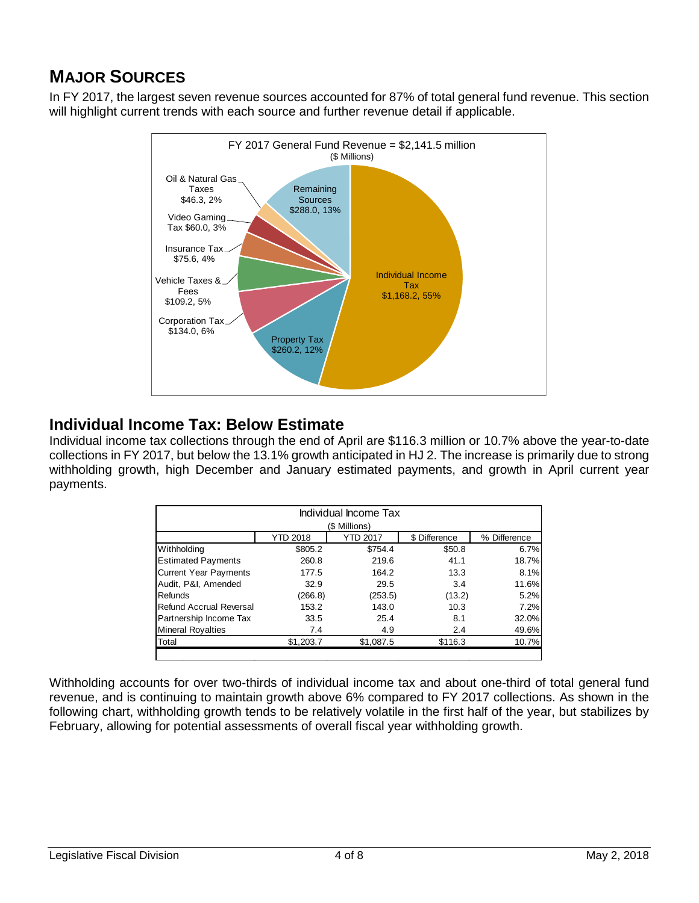### **MAJOR SOURCES**

In FY 2017, the largest seven revenue sources accounted for 87% of total general fund revenue. This section will highlight current trends with each source and further revenue detail if applicable.



#### **Individual Income Tax: Below Estimate**

Individual income tax collections through the end of April are \$116.3 million or 10.7% above the year-to-date collections in FY 2017, but below the 13.1% growth anticipated in HJ 2. The increase is primarily due to strong withholding growth, high December and January estimated payments, and growth in April current year payments.

| Individual Income Tax<br>(\$ Millions)                              |           |           |         |       |  |  |  |
|---------------------------------------------------------------------|-----------|-----------|---------|-------|--|--|--|
| <b>YTD 2018</b><br><b>YTD 2017</b><br>\$ Difference<br>% Difference |           |           |         |       |  |  |  |
| Withholding                                                         | \$805.2   | \$754.4   | \$50.8  | 6.7%  |  |  |  |
| <b>Estimated Payments</b>                                           | 260.8     | 219.6     | 41.1    | 18.7% |  |  |  |
| <b>Current Year Payments</b>                                        | 177.5     | 164.2     | 13.3    | 8.1%  |  |  |  |
| Audit, P&I, Amended                                                 | 32.9      | 29.5      | 3.4     | 11.6% |  |  |  |
| Refunds                                                             | (266.8)   | (253.5)   | (13.2)  | 5.2%  |  |  |  |
| <b>Refund Accrual Reversal</b>                                      | 153.2     | 143.0     | 10.3    | 7.2%  |  |  |  |
| Partnership Income Tax                                              | 33.5      | 25.4      | 8.1     | 32.0% |  |  |  |
| <b>Mineral Royalties</b>                                            | 7.4       | 4.9       | 2.4     | 49.6% |  |  |  |
| Total                                                               | \$1,203.7 | \$1,087.5 | \$116.3 | 10.7% |  |  |  |
|                                                                     |           |           |         |       |  |  |  |

Withholding accounts for over two-thirds of individual income tax and about one-third of total general fund revenue, and is continuing to maintain growth above 6% compared to FY 2017 collections. As shown in the following chart, withholding growth tends to be relatively volatile in the first half of the year, but stabilizes by February, allowing for potential assessments of overall fiscal year withholding growth.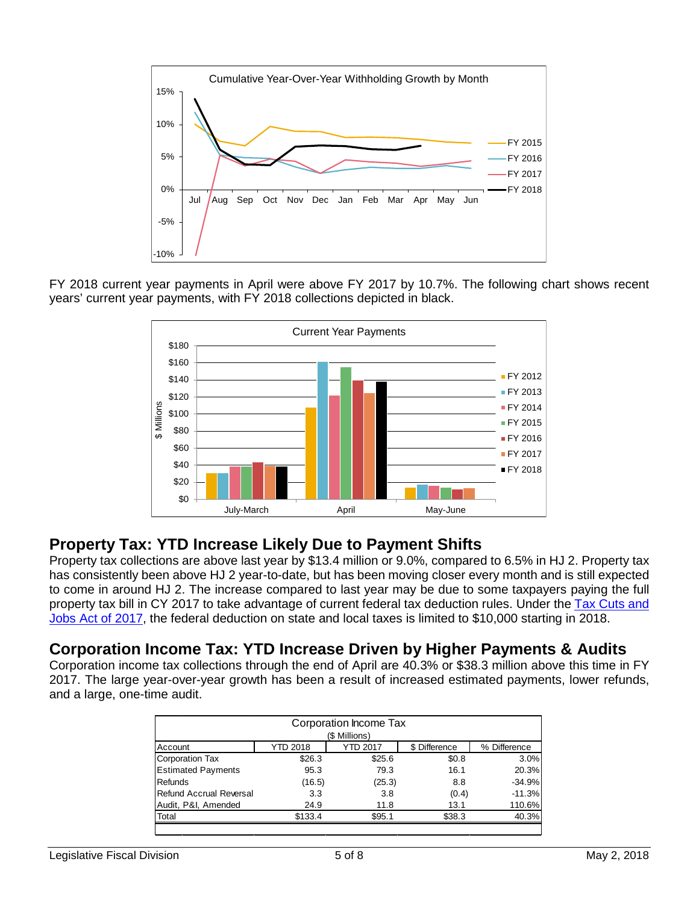

FY 2018 current year payments in April were above FY 2017 by 10.7%. The following chart shows recent years' current year payments, with FY 2018 collections depicted in black.



### **Property Tax: YTD Increase Likely Due to Payment Shifts**

Property tax collections are above last year by \$13.4 million or 9.0%, compared to 6.5% in HJ 2. Property tax has consistently been above HJ 2 year-to-date, but has been moving closer every month and is still expected to come in around HJ 2. The increase compared to last year may be due to some taxpayers paying the full property tax bill in CY 2017 to take advantage of current federal tax deduction rules. Under the [Tax Cuts and](https://www.congress.gov/bill/115th-congress/house-bill/1)  [Jobs Act of 2017,](https://www.congress.gov/bill/115th-congress/house-bill/1) the federal deduction on state and local taxes is limited to \$10,000 starting in 2018.

#### **Corporation Income Tax: YTD Increase Driven by Higher Payments & Audits**

Corporation income tax collections through the end of April are 40.3% or \$38.3 million above this time in FY 2017. The large year-over-year growth has been a result of increased estimated payments, lower refunds, and a large, one-time audit.

| Corporation Income Tax<br>(\$ Millions) |          |                 |               |              |  |  |
|-----------------------------------------|----------|-----------------|---------------|--------------|--|--|
| Account                                 | YTD 2018 | <b>YTD 2017</b> | \$ Difference | % Difference |  |  |
| Corporation Tax                         | \$26.3   | \$25.6          | \$0.8         | 3.0%         |  |  |
| <b>Estimated Payments</b>               | 95.3     | 79.3            | 16.1          | 20.3%        |  |  |
| Refunds                                 | (16.5)   | (25.3)          | 8.8           | $-34.9%$     |  |  |
| Refund Accrual Reversal                 | 3.3      | 3.8             | (0.4)         | $-11.3%$     |  |  |
| Audit, P&I, Amended                     | 24.9     | 11.8            | 13.1          | 110.6%       |  |  |
| Total                                   | \$133.4  | \$95.1          | \$38.3        | 40.3%        |  |  |
|                                         |          |                 |               |              |  |  |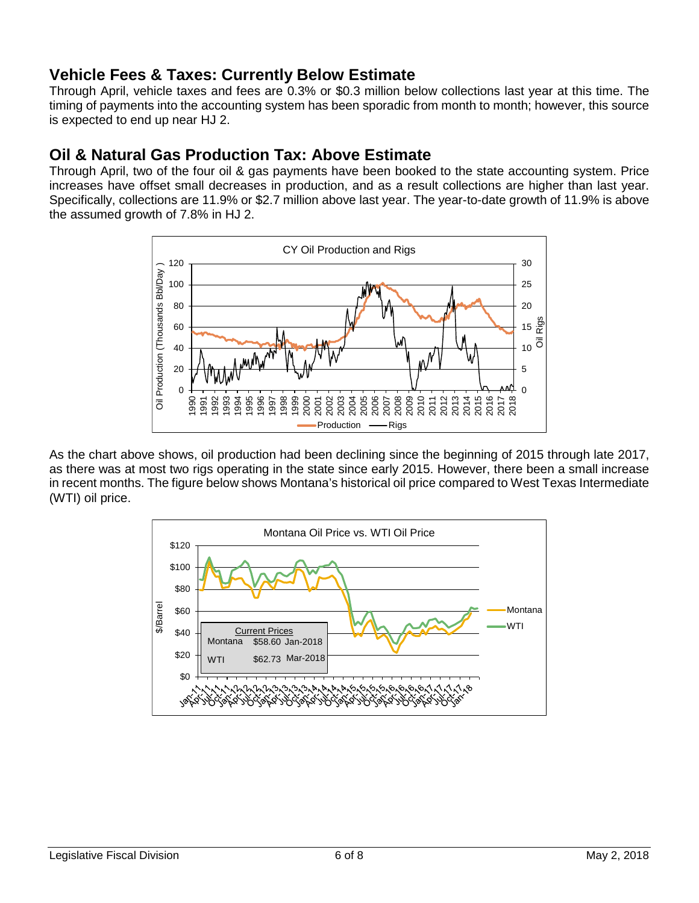#### **Vehicle Fees & Taxes: Currently Below Estimate**

Through April, vehicle taxes and fees are 0.3% or \$0.3 million below collections last year at this time. The timing of payments into the accounting system has been sporadic from month to month; however, this source is expected to end up near HJ 2.

#### **Oil & Natural Gas Production Tax: Above Estimate**

Through April, two of the four oil & gas payments have been booked to the state accounting system. Price increases have offset small decreases in production, and as a result collections are higher than last year. Specifically, collections are 11.9% or \$2.7 million above last year. The year-to-date growth of 11.9% is above the assumed growth of 7.8% in HJ 2.



As the chart above shows, oil production had been declining since the beginning of 2015 through late 2017, as there was at most two rigs operating in the state since early 2015. However, there been a small increase in recent months. The figure below shows Montana's historical oil price compared to West Texas Intermediate (WTI) oil price.

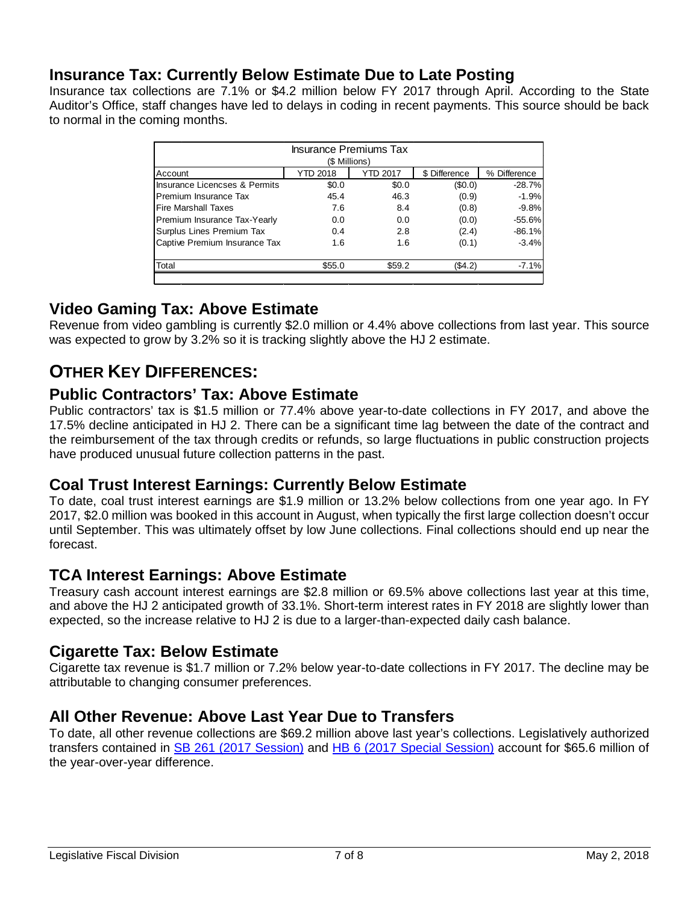#### **Insurance Tax: Currently Below Estimate Due to Late Posting**

Insurance tax collections are 7.1% or \$4.2 million below FY 2017 through April. According to the State Auditor's Office, staff changes have led to delays in coding in recent payments. This source should be back to normal in the coming months.

| <b>Insurance Premiums Tax</b><br>(\$ Millions)                                 |        |        |         |          |  |  |  |
|--------------------------------------------------------------------------------|--------|--------|---------|----------|--|--|--|
| <b>YTD 2017</b><br><b>YTD 2018</b><br>\$ Difference<br>% Difference<br>Account |        |        |         |          |  |  |  |
| Insurance Licencses & Permits                                                  | \$0.0  | \$0.0  | (\$0.0) | $-28.7%$ |  |  |  |
| Premium Insurance Tax                                                          | 45.4   | 46.3   | (0.9)   | $-1.9%$  |  |  |  |
| <b>Fire Marshall Taxes</b>                                                     | 7.6    | 8.4    | (0.8)   | $-9.8%$  |  |  |  |
| Premium Insurance Tax-Yearly                                                   | 0.0    | 0.0    | (0.0)   | $-55.6%$ |  |  |  |
| Surplus Lines Premium Tax                                                      | 0.4    | 2.8    | (2.4)   | $-86.1%$ |  |  |  |
| Captive Premium Insurance Tax                                                  | 1.6    | 1.6    | (0.1)   | $-3.4%$  |  |  |  |
| Total                                                                          | \$55.0 | \$59.2 | (\$4.2) | $-7.1%$  |  |  |  |

#### **Video Gaming Tax: Above Estimate**

Revenue from video gambling is currently \$2.0 million or 4.4% above collections from last year. This source was expected to grow by 3.2% so it is tracking slightly above the HJ 2 estimate.

### **OTHER KEY DIFFERENCES:**

#### **Public Contractors' Tax: Above Estimate**

Public contractors' tax is \$1.5 million or 77.4% above year-to-date collections in FY 2017, and above the 17.5% decline anticipated in HJ 2. There can be a significant time lag between the date of the contract and the reimbursement of the tax through credits or refunds, so large fluctuations in public construction projects have produced unusual future collection patterns in the past.

#### **Coal Trust Interest Earnings: Currently Below Estimate**

To date, coal trust interest earnings are \$1.9 million or 13.2% below collections from one year ago. In FY 2017, \$2.0 million was booked in this account in August, when typically the first large collection doesn't occur until September. This was ultimately offset by low June collections. Final collections should end up near the forecast.

#### **TCA Interest Earnings: Above Estimate**

Treasury cash account interest earnings are \$2.8 million or 69.5% above collections last year at this time, and above the HJ 2 anticipated growth of 33.1%. Short-term interest rates in FY 2018 are slightly lower than expected, so the increase relative to HJ 2 is due to a larger-than-expected daily cash balance.

#### **Cigarette Tax: Below Estimate**

Cigarette tax revenue is \$1.7 million or 7.2% below year-to-date collections in FY 2017. The decline may be attributable to changing consumer preferences.

#### **All Other Revenue: Above Last Year Due to Transfers**

To date, all other revenue collections are \$69.2 million above last year's collections. Legislatively authorized transfers contained in [SB 261 \(2017 Session\)](http://leg.mt.gov/bills/2017/billhtml/SB0261.htm) and [HB 6 \(2017 Special Session\)](http://leg.mt.gov/bills/specsess/1117/billhtml/HB0006.htm) account for \$65.6 million of the year-over-year difference.